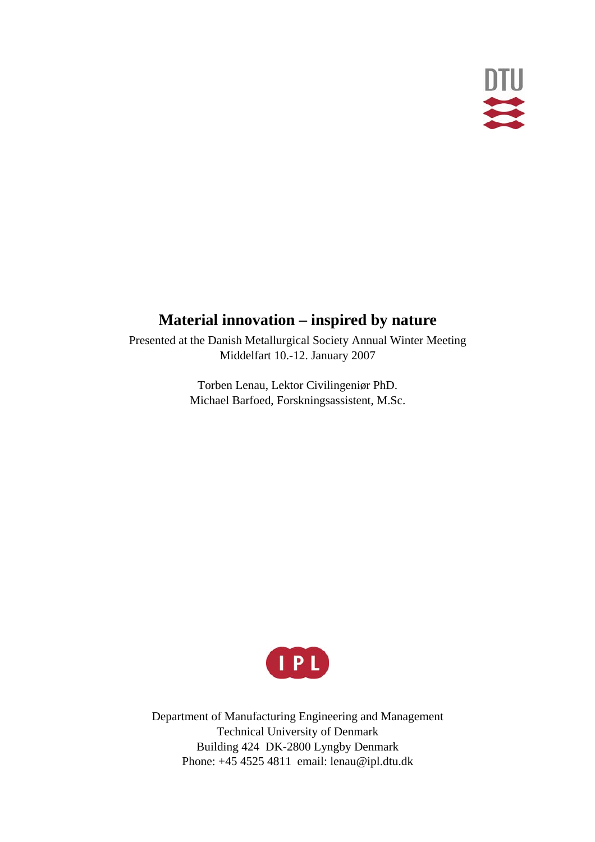

# **Material innovation – inspired by nature**

Presented at the Danish Metallurgical Society Annual Winter Meeting Middelfart 10.-12. January 2007

> Torben Lenau, Lektor Civilingeniør PhD. Michael Barfoed, Forskningsassistent, M.Sc.



Department of Manufacturing Engineering and Management Technical University of Denmark Building 424 DK-2800 Lyngby Denmark Phone: +45 4525 4811 email: lenau@ipl.dtu.dk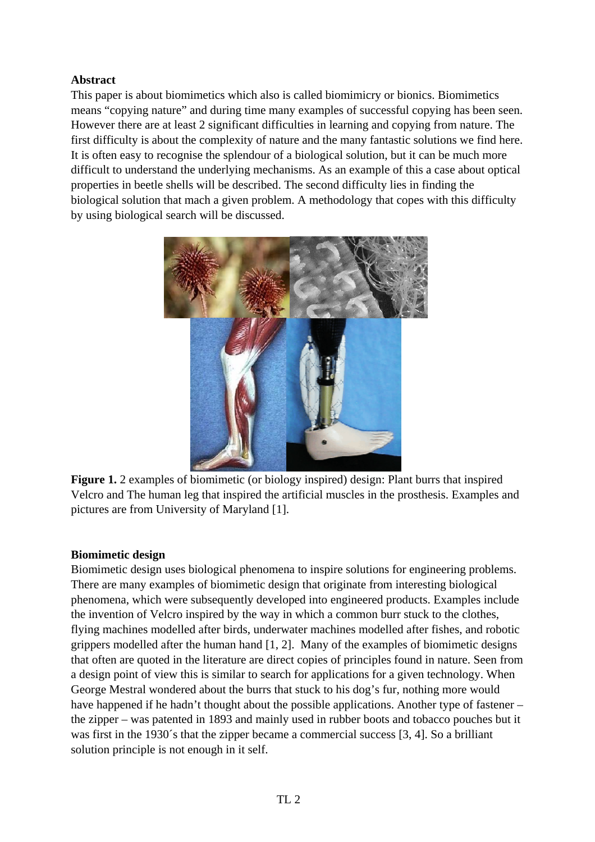## **Abstract**

This paper is about biomimetics which also is called biomimicry or bionics. Biomimetics means "copying nature" and during time many examples of successful copying has been seen. However there are at least 2 significant difficulties in learning and copying from nature. The first difficulty is about the complexity of nature and the many fantastic solutions we find here. It is often easy to recognise the splendour of a biological solution, but it can be much more difficult to understand the underlying mechanisms. As an example of this a case about optical properties in beetle shells will be described. The second difficulty lies in finding the biological solution that mach a given problem. A methodology that copes with this difficulty by using biological search will be discussed.



**Figure 1.** 2 examples of biomimetic (or biology inspired) design: Plant burrs that inspired Velcro and The human leg that inspired the artificial muscles in the prosthesis. Examples and pictures are from University of Maryland [1].

#### **Biomimetic design**

Biomimetic design uses biological phenomena to inspire solutions for engineering problems. There are many examples of biomimetic design that originate from interesting biological phenomena, which were subsequently developed into engineered products. Examples include the invention of Velcro inspired by the way in which a common burr stuck to the clothes, flying machines modelled after birds, underwater machines modelled after fishes, and robotic grippers modelled after the human hand [1, 2]. Many of the examples of biomimetic designs that often are quoted in the literature are direct copies of principles found in nature. Seen from a design point of view this is similar to search for applications for a given technology. When George Mestral wondered about the burrs that stuck to his dog's fur, nothing more would have happened if he hadn't thought about the possible applications. Another type of fastener – the zipper – was patented in 1893 and mainly used in rubber boots and tobacco pouches but it was first in the 1930´s that the zipper became a commercial success [3, 4]. So a brilliant solution principle is not enough in it self.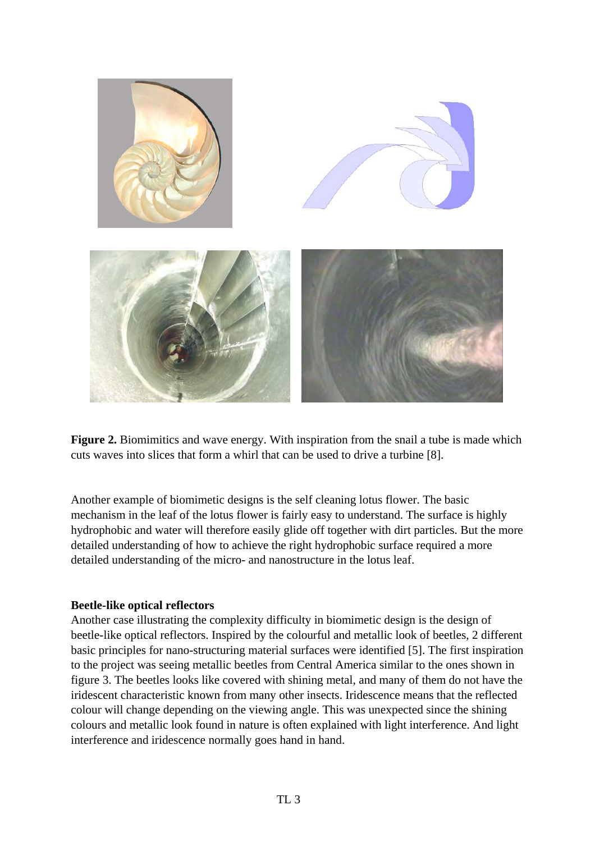

**Figure 2.** Biomimitics and wave energy. With inspiration from the snail a tube is made which cuts waves into slices that form a whirl that can be used to drive a turbine [8].

Another example of biomimetic designs is the self cleaning lotus flower. The basic mechanism in the leaf of the lotus flower is fairly easy to understand. The surface is highly hydrophobic and water will therefore easily glide off together with dirt particles. But the more detailed understanding of how to achieve the right hydrophobic surface required a more detailed understanding of the micro- and nanostructure in the lotus leaf.

#### **Beetle-like optical reflectors**

Another case illustrating the complexity difficulty in biomimetic design is the design of beetle-like optical reflectors. Inspired by the colourful and metallic look of beetles, 2 different basic principles for nano-structuring material surfaces were identified [5]. The first inspiration to the project was seeing metallic beetles from Central America similar to the ones shown in figure 3. The beetles looks like covered with shining metal, and many of them do not have the iridescent characteristic known from many other insects. Iridescence means that the reflected colour will change depending on the viewing angle. This was unexpected since the shining colours and metallic look found in nature is often explained with light interference. And light interference and iridescence normally goes hand in hand.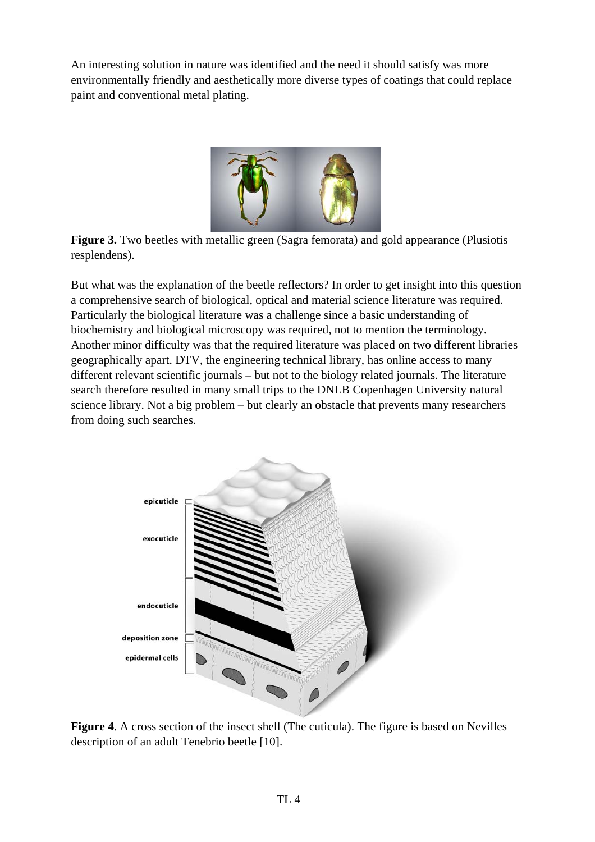An interesting solution in nature was identified and the need it should satisfy was more environmentally friendly and aesthetically more diverse types of coatings that could replace paint and conventional metal plating.



**Figure 3.** Two beetles with metallic green (Sagra femorata) and gold appearance (Plusiotis resplendens).

But what was the explanation of the beetle reflectors? In order to get insight into this question a comprehensive search of biological, optical and material science literature was required. Particularly the biological literature was a challenge since a basic understanding of biochemistry and biological microscopy was required, not to mention the terminology. Another minor difficulty was that the required literature was placed on two different libraries geographically apart. DTV, the engineering technical library, has online access to many different relevant scientific journals – but not to the biology related journals. The literature search therefore resulted in many small trips to the DNLB Copenhagen University natural science library. Not a big problem – but clearly an obstacle that prevents many researchers from doing such searches.



**Figure 4**. A cross section of the insect shell (The cuticula). The figure is based on Nevilles description of an adult Tenebrio beetle [10].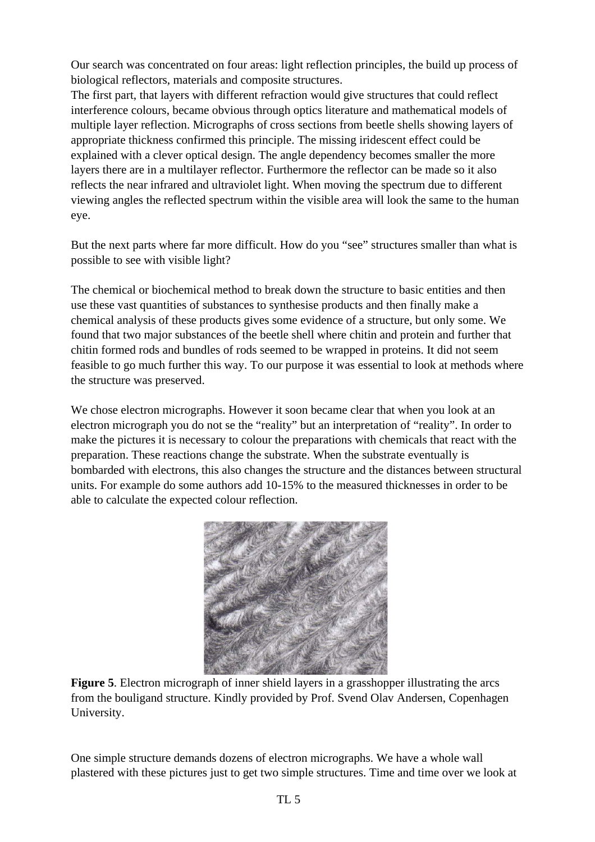Our search was concentrated on four areas: light reflection principles, the build up process of biological reflectors, materials and composite structures.

The first part, that layers with different refraction would give structures that could reflect interference colours, became obvious through optics literature and mathematical models of multiple layer reflection. Micrographs of cross sections from beetle shells showing layers of appropriate thickness confirmed this principle. The missing iridescent effect could be explained with a clever optical design. The angle dependency becomes smaller the more layers there are in a multilayer reflector. Furthermore the reflector can be made so it also reflects the near infrared and ultraviolet light. When moving the spectrum due to different viewing angles the reflected spectrum within the visible area will look the same to the human eye.

But the next parts where far more difficult. How do you "see" structures smaller than what is possible to see with visible light?

The chemical or biochemical method to break down the structure to basic entities and then use these vast quantities of substances to synthesise products and then finally make a chemical analysis of these products gives some evidence of a structure, but only some. We found that two major substances of the beetle shell where chitin and protein and further that chitin formed rods and bundles of rods seemed to be wrapped in proteins. It did not seem feasible to go much further this way. To our purpose it was essential to look at methods where the structure was preserved.

We chose electron micrographs. However it soon became clear that when you look at an electron micrograph you do not se the "reality" but an interpretation of "reality". In order to make the pictures it is necessary to colour the preparations with chemicals that react with the preparation. These reactions change the substrate. When the substrate eventually is bombarded with electrons, this also changes the structure and the distances between structural units. For example do some authors add 10-15% to the measured thicknesses in order to be able to calculate the expected colour reflection.



Figure 5. Electron micrograph of inner shield layers in a grasshopper illustrating the arcs from the bouligand structure. Kindly provided by Prof. Svend Olav Andersen, Copenhagen University.

One simple structure demands dozens of electron micrographs. We have a whole wall plastered with these pictures just to get two simple structures. Time and time over we look at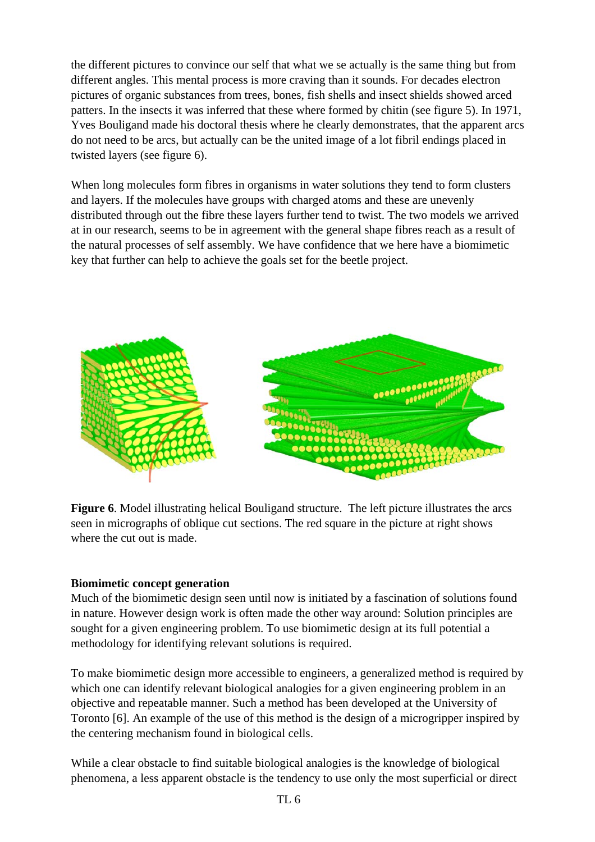the different pictures to convince our self that what we se actually is the same thing but from different angles. This mental process is more craving than it sounds. For decades electron pictures of organic substances from trees, bones, fish shells and insect shields showed arced patters. In the insects it was inferred that these where formed by chitin (see figure 5). In 1971, Yves Bouligand made his doctoral thesis where he clearly demonstrates, that the apparent arcs do not need to be arcs, but actually can be the united image of a lot fibril endings placed in twisted layers (see figure 6).

When long molecules form fibres in organisms in water solutions they tend to form clusters and layers. If the molecules have groups with charged atoms and these are unevenly distributed through out the fibre these layers further tend to twist. The two models we arrived at in our research, seems to be in agreement with the general shape fibres reach as a result of the natural processes of self assembly. We have confidence that we here have a biomimetic key that further can help to achieve the goals set for the beetle project.



**Figure 6**. Model illustrating helical Bouligand structure. The left picture illustrates the arcs seen in micrographs of oblique cut sections. The red square in the picture at right shows where the cut out is made.

#### **Biomimetic concept generation**

Much of the biomimetic design seen until now is initiated by a fascination of solutions found in nature. However design work is often made the other way around: Solution principles are sought for a given engineering problem. To use biomimetic design at its full potential a methodology for identifying relevant solutions is required.

To make biomimetic design more accessible to engineers, a generalized method is required by which one can identify relevant biological analogies for a given engineering problem in an objective and repeatable manner. Such a method has been developed at the University of Toronto [6]. An example of the use of this method is the design of a microgripper inspired by the centering mechanism found in biological cells.

While a clear obstacle to find suitable biological analogies is the knowledge of biological phenomena, a less apparent obstacle is the tendency to use only the most superficial or direct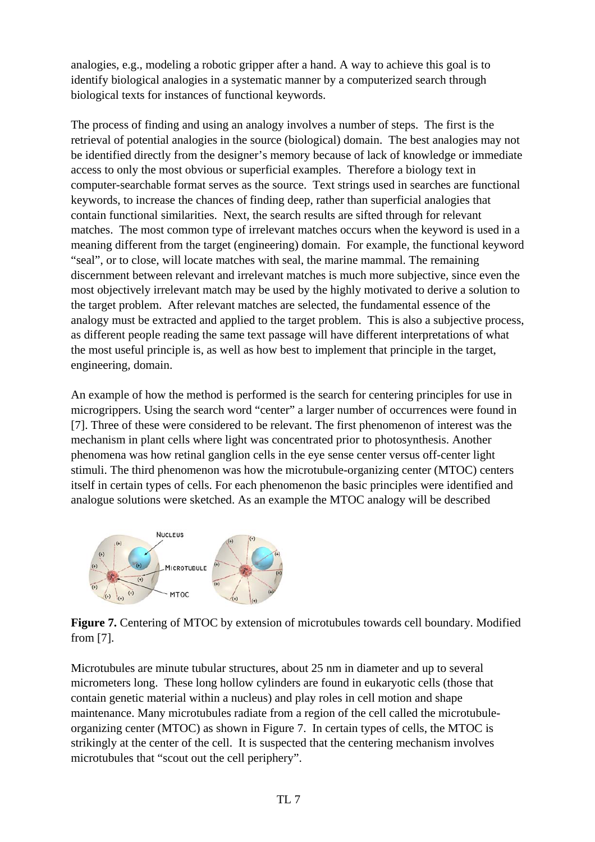analogies, e.g., modeling a robotic gripper after a hand. A way to achieve this goal is to identify biological analogies in a systematic manner by a computerized search through biological texts for instances of functional keywords.

The process of finding and using an analogy involves a number of steps. The first is the retrieval of potential analogies in the source (biological) domain. The best analogies may not be identified directly from the designer's memory because of lack of knowledge or immediate access to only the most obvious or superficial examples. Therefore a biology text in computer-searchable format serves as the source. Text strings used in searches are functional keywords, to increase the chances of finding deep, rather than superficial analogies that contain functional similarities. Next, the search results are sifted through for relevant matches. The most common type of irrelevant matches occurs when the keyword is used in a meaning different from the target (engineering) domain. For example, the functional keyword "seal", or to close, will locate matches with seal, the marine mammal. The remaining discernment between relevant and irrelevant matches is much more subjective, since even the most objectively irrelevant match may be used by the highly motivated to derive a solution to the target problem. After relevant matches are selected, the fundamental essence of the analogy must be extracted and applied to the target problem. This is also a subjective process, as different people reading the same text passage will have different interpretations of what the most useful principle is, as well as how best to implement that principle in the target, engineering, domain.

An example of how the method is performed is the search for centering principles for use in microgrippers. Using the search word "center" a larger number of occurrences were found in [7]. Three of these were considered to be relevant. The first phenomenon of interest was the mechanism in plant cells where light was concentrated prior to photosynthesis. Another phenomena was how retinal ganglion cells in the eye sense center versus off-center light stimuli. The third phenomenon was how the microtubule-organizing center (MTOC) centers itself in certain types of cells. For each phenomenon the basic principles were identified and analogue solutions were sketched. As an example the MTOC analogy will be described



**Figure 7.** Centering of MTOC by extension of microtubules towards cell boundary. Modified from [7].

Microtubules are minute tubular structures, about 25 nm in diameter and up to several micrometers long. These long hollow cylinders are found in eukaryotic cells (those that contain genetic material within a nucleus) and play roles in cell motion and shape maintenance. Many microtubules radiate from a region of the cell called the microtubuleorganizing center (MTOC) as shown in Figure 7. In certain types of cells, the MTOC is strikingly at the center of the cell. It is suspected that the centering mechanism involves microtubules that "scout out the cell periphery".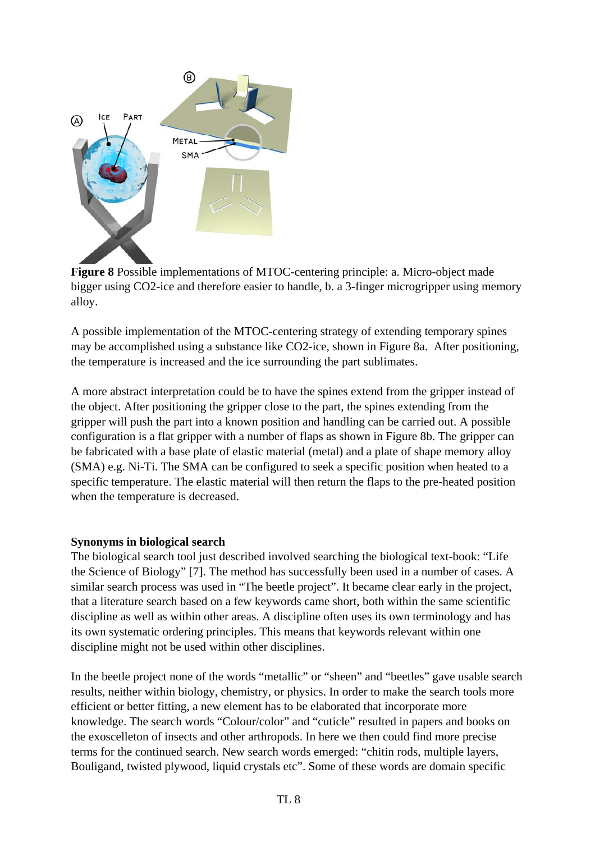

**Figure 8** Possible implementations of MTOC-centering principle: a. Micro-object made bigger using CO2-ice and therefore easier to handle, b. a 3-finger microgripper using memory alloy.

A possible implementation of the MTOC-centering strategy of extending temporary spines may be accomplished using a substance like CO2-ice, shown in Figure 8a. After positioning, the temperature is increased and the ice surrounding the part sublimates.

A more abstract interpretation could be to have the spines extend from the gripper instead of the object. After positioning the gripper close to the part, the spines extending from the gripper will push the part into a known position and handling can be carried out. A possible configuration is a flat gripper with a number of flaps as shown in Figure 8b. The gripper can be fabricated with a base plate of elastic material (metal) and a plate of shape memory alloy (SMA) e.g. Ni-Ti. The SMA can be configured to seek a specific position when heated to a specific temperature. The elastic material will then return the flaps to the pre-heated position when the temperature is decreased.

#### **Synonyms in biological search**

The biological search tool just described involved searching the biological text-book: "Life the Science of Biology" [7]. The method has successfully been used in a number of cases. A similar search process was used in "The beetle project". It became clear early in the project, that a literature search based on a few keywords came short, both within the same scientific discipline as well as within other areas. A discipline often uses its own terminology and has its own systematic ordering principles. This means that keywords relevant within one discipline might not be used within other disciplines.

In the beetle project none of the words "metallic" or "sheen" and "beetles" gave usable search results, neither within biology, chemistry, or physics. In order to make the search tools more efficient or better fitting, a new element has to be elaborated that incorporate more knowledge. The search words "Colour/color" and "cuticle" resulted in papers and books on the exoscelleton of insects and other arthropods. In here we then could find more precise terms for the continued search. New search words emerged: "chitin rods, multiple layers, Bouligand, twisted plywood, liquid crystals etc". Some of these words are domain specific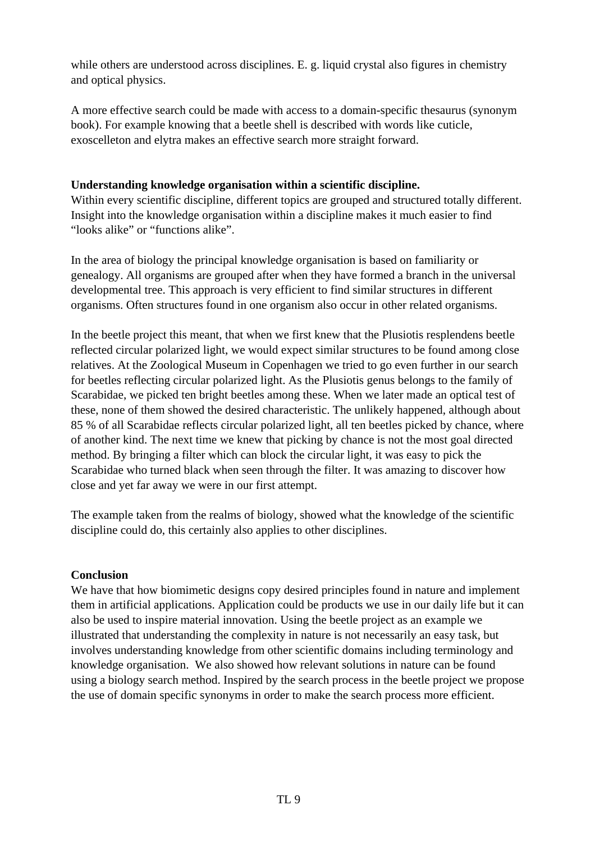while others are understood across disciplines. E. g. liquid crystal also figures in chemistry and optical physics.

A more effective search could be made with access to a domain-specific thesaurus (synonym book). For example knowing that a beetle shell is described with words like cuticle, exoscelleton and elytra makes an effective search more straight forward.

# **Understanding knowledge organisation within a scientific discipline.**

Within every scientific discipline, different topics are grouped and structured totally different. Insight into the knowledge organisation within a discipline makes it much easier to find "looks alike" or "functions alike".

In the area of biology the principal knowledge organisation is based on familiarity or genealogy. All organisms are grouped after when they have formed a branch in the universal developmental tree. This approach is very efficient to find similar structures in different organisms. Often structures found in one organism also occur in other related organisms.

In the beetle project this meant, that when we first knew that the Plusiotis resplendens beetle reflected circular polarized light, we would expect similar structures to be found among close relatives. At the Zoological Museum in Copenhagen we tried to go even further in our search for beetles reflecting circular polarized light. As the Plusiotis genus belongs to the family of Scarabidae, we picked ten bright beetles among these. When we later made an optical test of these, none of them showed the desired characteristic. The unlikely happened, although about 85 % of all Scarabidae reflects circular polarized light, all ten beetles picked by chance, where of another kind. The next time we knew that picking by chance is not the most goal directed method. By bringing a filter which can block the circular light, it was easy to pick the Scarabidae who turned black when seen through the filter. It was amazing to discover how close and yet far away we were in our first attempt.

The example taken from the realms of biology, showed what the knowledge of the scientific discipline could do, this certainly also applies to other disciplines.

#### **Conclusion**

We have that how biomimetic designs copy desired principles found in nature and implement them in artificial applications. Application could be products we use in our daily life but it can also be used to inspire material innovation. Using the beetle project as an example we illustrated that understanding the complexity in nature is not necessarily an easy task, but involves understanding knowledge from other scientific domains including terminology and knowledge organisation. We also showed how relevant solutions in nature can be found using a biology search method. Inspired by the search process in the beetle project we propose the use of domain specific synonyms in order to make the search process more efficient.